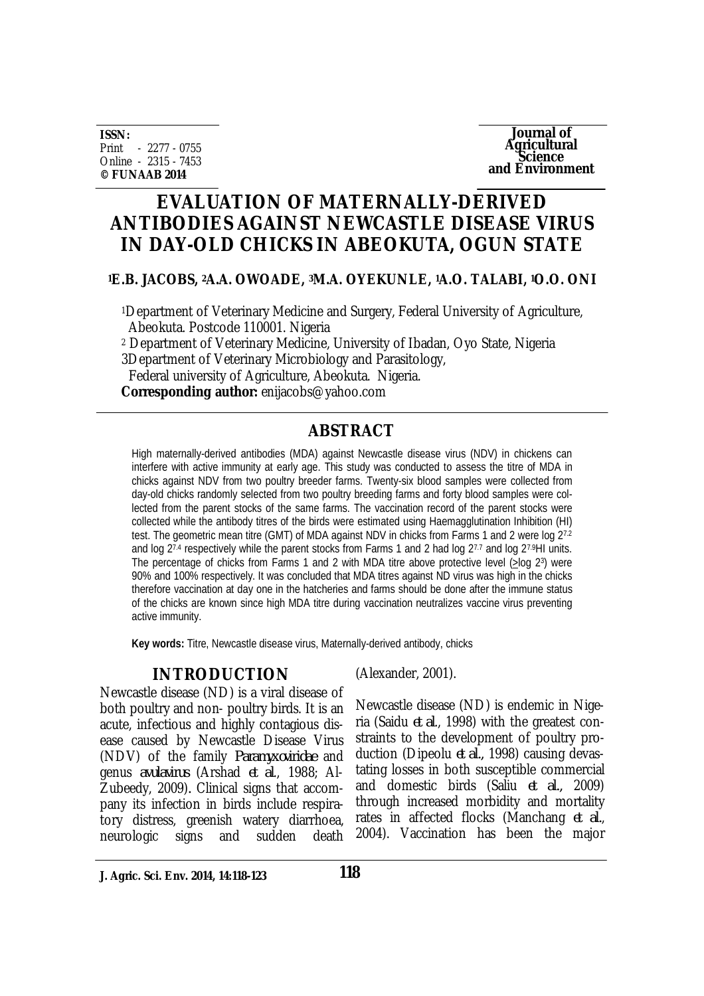**ISSN:** Print - 2277 - 0755 Online - 2315 - 7453 **© FUNAAB 2014**



# **EVALUATION OF MATERNALLY-DERIVED ANTIBODIES AGAINST NEWCASTLE DISEASE VIRUS IN DAY-OLD CHICKS IN ABEOKUTA, OGUN STATE**

### **<sup>1</sup>E.B. JACOBS, 2A.A. OWOADE, 3M.A. OYEKUNLE, 1A.O. TALABI, 1O.O. ONI**

<sup>1</sup>Department of Veterinary Medicine and Surgery, Federal University of Agriculture, Abeokuta. Postcode 110001. Nigeria

<sup>2</sup> Department of Veterinary Medicine, University of Ibadan, Oyo State, Nigeria 3Department of Veterinary Microbiology and Parasitology,

Federal university of Agriculture, Abeokuta. Nigeria.

**Corresponding author:** enijacobs@yahoo.com

# **ABSTRACT**

High maternally-derived antibodies (MDA) against Newcastle disease virus (NDV) in chickens can interfere with active immunity at early age. This study was conducted to assess the titre of MDA in chicks against NDV from two poultry breeder farms. Twenty-six blood samples were collected from day-old chicks randomly selected from two poultry breeding farms and forty blood samples were collected from the parent stocks of the same farms. The vaccination record of the parent stocks were collected while the antibody titres of the birds were estimated using Haemagglutination Inhibition (HI) test. The geometric mean titre (GMT) of MDA against NDV in chicks from Farms 1 and 2 were log 27.2 and log 27.4 respectively while the parent stocks from Farms 1 and 2 had log 27.7 and log 27.9HI units. The percentage of chicks from Farms 1 and 2 with MDA titre above protective level (>log 2<sup>3</sup>) were 90% and 100% respectively. It was concluded that MDA titres against ND virus was high in the chicks therefore vaccination at day one in the hatcheries and farms should be done after the immune status of the chicks are known since high MDA titre during vaccination neutralizes vaccine virus preventing active immunity.

**Key words:** Titre, Newcastle disease virus, Maternally-derived antibody, chicks

# **INTRODUCTION**

Newcastle disease (ND) is a viral disease of both poultry and non- poultry birds. It is an acute, infectious and highly contagious disease caused by Newcastle Disease Virus (NDV) of the family *Paramyxoviridae* and genus *avulavirus* (Arshad *et al*., 1988; Al-Zubeedy, 2009)*.* Clinical signs that accompany its infection in birds include respiratory distress, greenish watery diarrhoea, neurologic signs and sudden death

(Alexander, 2001).

Newcastle disease (ND) is endemic in Nigeria (Saidu *et al*., 1998) with the greatest constraints to the development of poultry production (Dipeolu *et al.,* 1998) causing devastating losses in both susceptible commercial and domestic birds (Saliu *et al.,* 2009) through increased morbidity and mortality rates in affected flocks (Manchang *et al.*, 2004). Vaccination has been the major

**J. Agric. Sci. Env. 2014, 14:118-123**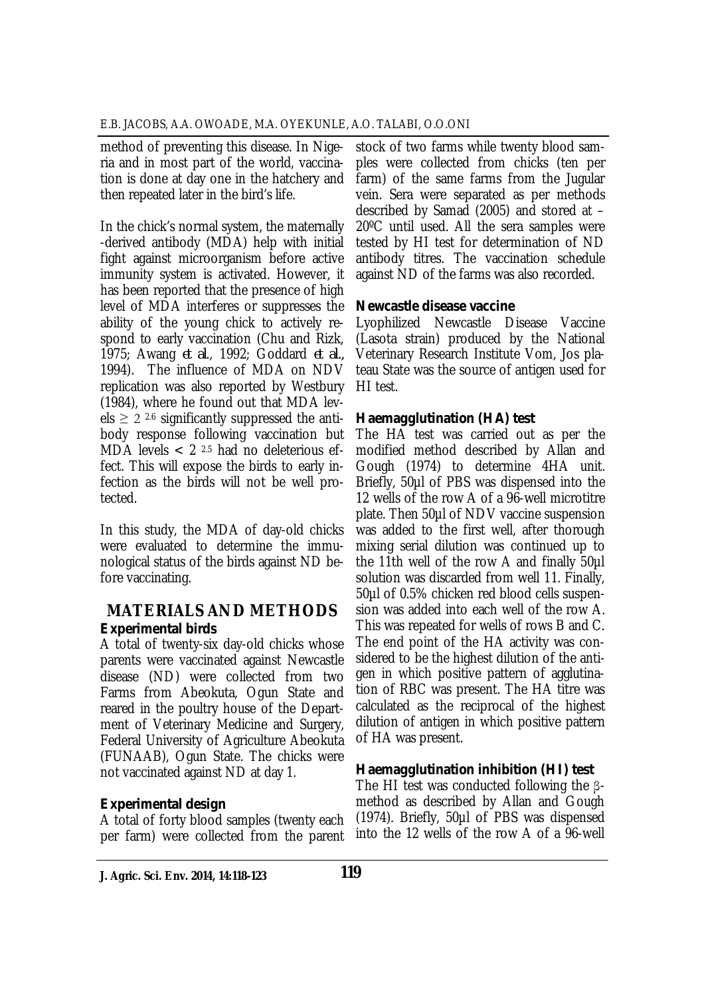method of preventing this disease. In Nigeria and in most part of the world, vaccination is done at day one in the hatchery and then repeated later in the bird's life.

In the chick's normal system, the maternally -derived antibody (MDA) help with initial fight against microorganism before active immunity system is activated. However, it has been reported that the presence of high level of MDA interferes or suppresses the ability of the young chick to actively respond to early vaccination (Chu and Rizk, 1975; Awang *et al*., 1992; Goddard *et al.,* 1994). The influence of MDA on NDV replication was also reported by Westbury (1984), where he found out that MDA levels  $\geq$  2.4 significantly suppressed the antibody response following vaccination but MDA levels  $< 2^{2.5}$  had no deleterious effect. This will expose the birds to early infection as the birds will not be well protected.

In this study, the MDA of day-old chicks were evaluated to determine the immunological status of the birds against ND before vaccinating.

# **MATERIALS AND METHODS** *Experimental birds*

A total of twenty-six day-old chicks whose parents were vaccinated against Newcastle disease (ND) were collected from two Farms from Abeokuta, Ogun State and reared in the poultry house of the Department of Veterinary Medicine and Surgery, Federal University of Agriculture Abeokuta (FUNAAB), Ogun State. The chicks were not vaccinated against ND at day 1.

# *Experimental design*

A total of forty blood samples (twenty each per farm) were collected from the parent

stock of two farms while twenty blood samples were collected from chicks (ten per farm) of the same farms from the Jugular vein. Sera were separated as per methods described by Samad (2005) and stored at – 20ºC until used. All the sera samples were tested by HI test for determination of ND antibody titres. The vaccination schedule against ND of the farms was also recorded.

# *Newcastle disease vaccine*

Lyophilized Newcastle Disease Vaccine (Lasota strain) produced by the National Veterinary Research Institute Vom, Jos plateau State was the source of antigen used for HI test.

# *Haemagglutination (HA) test*

The HA test was carried out as per the modified method described by Allan and Gough (1974) to determine 4HA unit. Briefly, 50µl of PBS was dispensed into the 12 wells of the row A of a 96-well microtitre plate. Then 50µl of NDV vaccine suspension was added to the first well, after thorough mixing serial dilution was continued up to the 11th well of the row A and finally 50µl solution was discarded from well 11. Finally, 50µl of 0.5% chicken red blood cells suspension was added into each well of the row A. This was repeated for wells of rows B and C. The end point of the HA activity was considered to be the highest dilution of the antigen in which positive pattern of agglutination of RBC was present. The HA titre was calculated as the reciprocal of the highest dilution of antigen in which positive pattern of HA was present.

# *Haemagglutination inhibition (HI) test*

The HI test was conducted following the βmethod as described by Allan and Gough (1974). Briefly, 50µl of PBS was dispensed into the 12 wells of the row A of a 96-well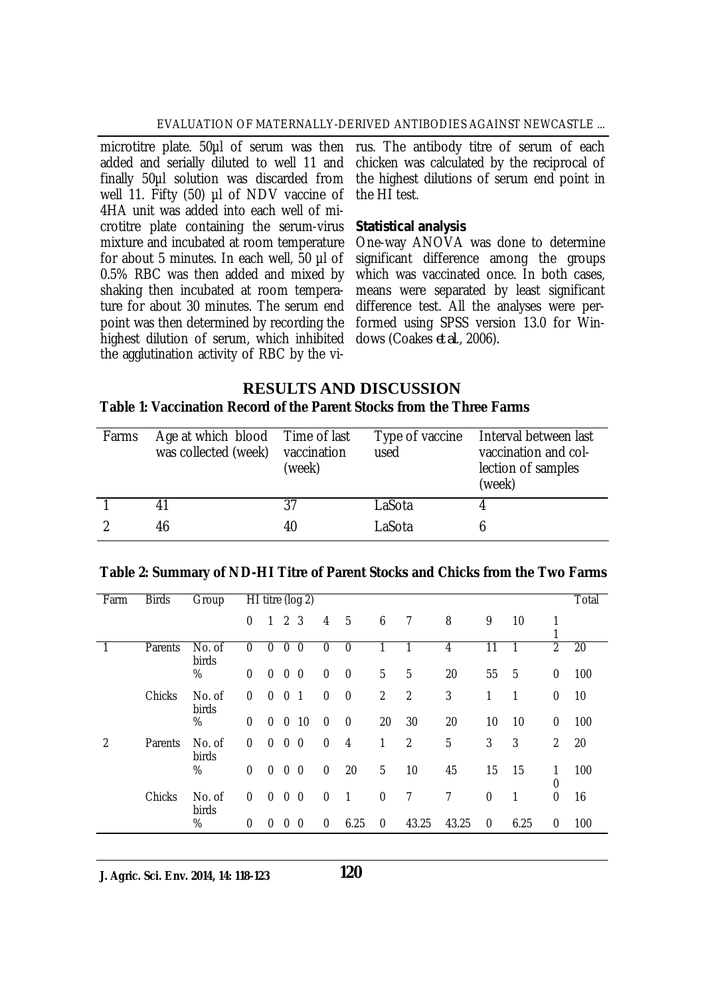#### EVALUATION OF MATERNALLY-DERIVED ANTIBODIES AGAINST NEWCASTLE ...

added and serially diluted to well 11 and finally 50µl solution was discarded from well 11. Fifty (50) µl of NDV vaccine of 4HA unit was added into each well of microtitre plate containing the serum-virus mixture and incubated at room temperature for about 5 minutes. In each well, 50 µl of 0.5% RBC was then added and mixed by shaking then incubated at room temperature for about 30 minutes. The serum end point was then determined by recording the highest dilution of serum, which inhibited the agglutination activity of RBC by the vi-

microtitre plate. 50µl of serum was then rus. The antibody titre of serum of each chicken was calculated by the reciprocal of the highest dilutions of serum end point in the HI test.

#### *Statistical analysis*

One-way ANOVA was done to determine significant difference among the groups which was vaccinated once. In both cases, means were separated by least significant difference test. All the analyses were performed using SPSS version 13.0 for Windows (Coakes *et al*., 2006).

### **RESULTS AND DISCUSSION**

#### **Table 1: Vaccination Record of the Parent Stocks from the Three Farms**

| Farms | Age at which blood Time of last<br>was collected (week) | vaccination<br>(week) | used   | Type of vaccine Interval between last<br>vaccination and col-<br>lection of samples<br>(week) |
|-------|---------------------------------------------------------|-----------------------|--------|-----------------------------------------------------------------------------------------------|
|       |                                                         | 37                    | LaSota |                                                                                               |
|       | 46                                                      | 40                    | LaSota |                                                                                               |

| Farm           | <b>Birds</b> | Group           |              |              |                | $\overline{HI}$ titre (log 2) |                  |             |                |                |       |             |      |                  | Total |
|----------------|--------------|-----------------|--------------|--------------|----------------|-------------------------------|------------------|-------------|----------------|----------------|-------|-------------|------|------------------|-------|
|                |              |                 | 0            | $\mathbf{1}$ | 2 <sub>3</sub> |                               | 4                | 5           | 6              | 7              | 8     | 9           | 10   |                  |       |
|                | Parents      | No. of<br>birds | $\theta$     | $\Omega$     | $\mathbf{0}$   | $\mathbf{0}$                  | $\theta$         | 0           |                |                | 4     | 11          |      | $\overline{2}$   | 20    |
|                |              | %               | $\theta$     | $\mathbf{0}$ | $0\quad 0$     |                               | $\mathbf 0$      | $\mathbf 0$ | 5              | 5              | 20    | 55          | 5    | $\boldsymbol{0}$ | 100   |
|                | Chicks       | No. of<br>birds | $\mathbf{0}$ | $\mathbf{0}$ | $\mathbf{0}$   | -1                            | $\boldsymbol{0}$ | 0           | $\overline{2}$ | $\overline{2}$ | 3     | 1           | 1    | $\boldsymbol{0}$ | 10    |
|                |              | %               | $\theta$     | $\mathbf{0}$ | $\mathbf 0$    | 10                            | $\Omega$         | $\mathbf 0$ | 20             | 30             | 20    | 10          | 10   | $\mathbf{0}$     | 100   |
| $\overline{2}$ | Parents      | No. of<br>birds | $\mathbf{0}$ | $\Omega$     | $\mathbf{0}$   | $\mathbf{0}$                  | $\mathbf{0}$     | 4           | 1              | $\overline{2}$ | 5     | 3           | 3    | 2                | 20    |
|                |              | %               | $\theta$     | $\Omega$     | $0\quad 0$     |                               | $\mathbf{0}$     | 20          | 5              | 10             | 45    | 15          | 15   | 1<br>0           | 100   |
|                | Chicks       | No. of<br>birds | $\mathbf 0$  | $\mathbf{0}$ | $0\quad 0$     |                               | $\boldsymbol{0}$ | 1           | 0              | 7              | 7     | 0           | 1    | $\mathbf{0}$     | 16    |
|                |              | %               | $\mathbf 0$  | $\mathbf{0}$ | 0 <sub>0</sub> |                               | $\mathbf 0$      | 6.25        | $\mathbf{0}$   | 43.25          | 43.25 | $\mathbf 0$ | 6.25 | $\mathbf{0}$     | 100   |

#### **Table 2: Summary of ND-HI Titre of Parent Stocks and Chicks from the Two Farms**

**J. Agric. Sci. Env. 2014, 14: 118-123**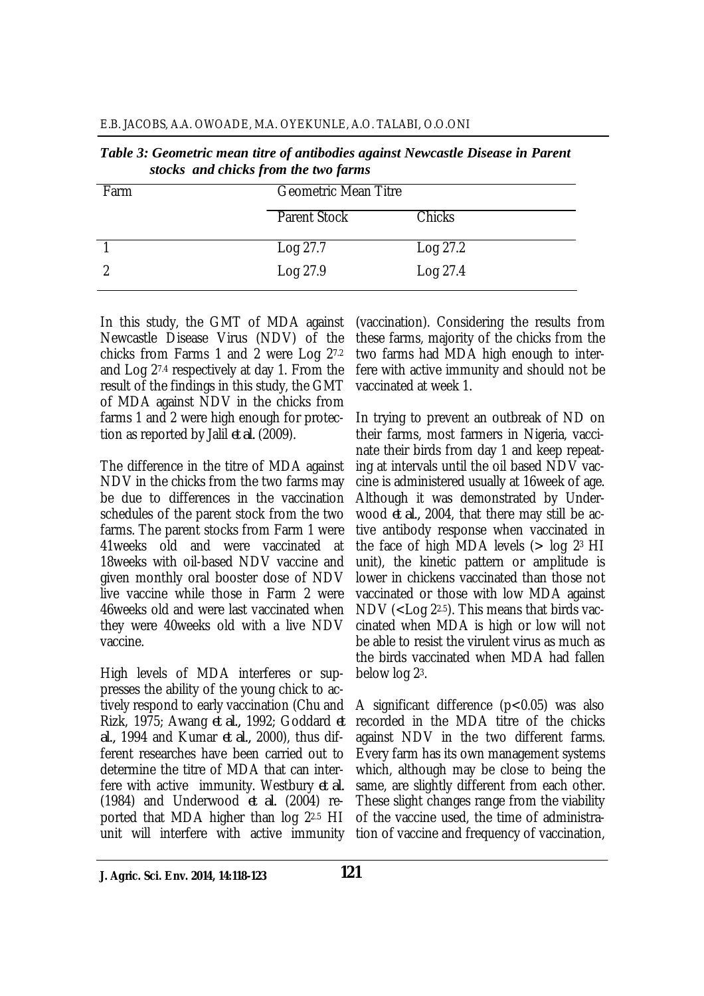| E.B. JACOBS, A.A. OWOADE, M.A. OYEKUNLE, A.O. TALABI, O.O.ONI |  |  |  |
|---------------------------------------------------------------|--|--|--|
|---------------------------------------------------------------|--|--|--|

1 Log 27.7 Log 27.2 2 Log 27.9 Log 27.4

|      | Tuble 9. Ocometric mean ture of antiboates against trewcastle Disease in I arent<br>stocks and chicks from the two farms |        |
|------|--------------------------------------------------------------------------------------------------------------------------|--------|
| Farm | <b>Geometric Mean Titre</b>                                                                                              |        |
|      | <b>Parent Stock</b>                                                                                                      | Chicks |

|                                      | Table 3: Geometric mean titre of antibodies against Newcastle Disease in Parent |
|--------------------------------------|---------------------------------------------------------------------------------|
| stocks and chicks from the two farms |                                                                                 |

| In this study, the GMT of MDA against         |
|-----------------------------------------------|
| Newcastle Disease Virus (NDV) of the          |
| chicks from Farms 1 and 2 were Log 27.2       |
| and Log 27.4 respectively at day 1. From the  |
| result of the findings in this study, the GMT |
| of MDA against NDV in the chicks from         |
| farms 1 and 2 were high enough for protec-    |
| tion as reported by Jalil et al. (2009).      |

The difference in the titre of MDA against NDV in the chicks from the two farms may be due to differences in the vaccination schedules of the parent stock from the two farms. The parent stocks from Farm 1 were 41weeks old and were vaccinated at 18weeks with oil-based NDV vaccine and given monthly oral booster dose of NDV live vaccine while those in Farm 2 were 46weeks old and were last vaccinated when they were 40weeks old with a live NDV vaccine.

High levels of MDA interferes or suppresses the ability of the young chick to actively respond to early vaccination (Chu and Rizk, 1975; Awang *et al.,* 1992; Goddard *et al.,* 1994 and Kumar *et al.,* 2000), thus different researches have been carried out to determine the titre of MDA that can interfere with active immunity. Westbury *et al.* (1984) and Underwood *et al.* (2004) reported that MDA higher than log 22.5 HI unit will interfere with active immunity

(vaccination). Considering the results from these farms, majority of the chicks from the two farms had MDA high enough to interfere with active immunity and should not be vaccinated at week 1.

In trying to prevent an outbreak of ND on their farms, most farmers in Nigeria, vaccinate their birds from day 1 and keep repeating at intervals until the oil based NDV vaccine is administered usually at 16week of age. Although it was demonstrated by Underwood *et al.,* 2004, that there may still be active antibody response when vaccinated in the face of high MDA levels  $($  log  $2<sup>3</sup>$  HI unit), the kinetic pattern or amplitude is lower in chickens vaccinated than those not vaccinated or those with low MDA against NDV (<Log 22.5). This means that birds vaccinated when MDA is high or low will not be able to resist the virulent virus as much as the birds vaccinated when MDA had fallen below log 23.

A significant difference (p<0.05) was also recorded in the MDA titre of the chicks against NDV in the two different farms. Every farm has its own management systems which, although may be close to being the same, are slightly different from each other. These slight changes range from the viability of the vaccine used, the time of administration of vaccine and frequency of vaccination,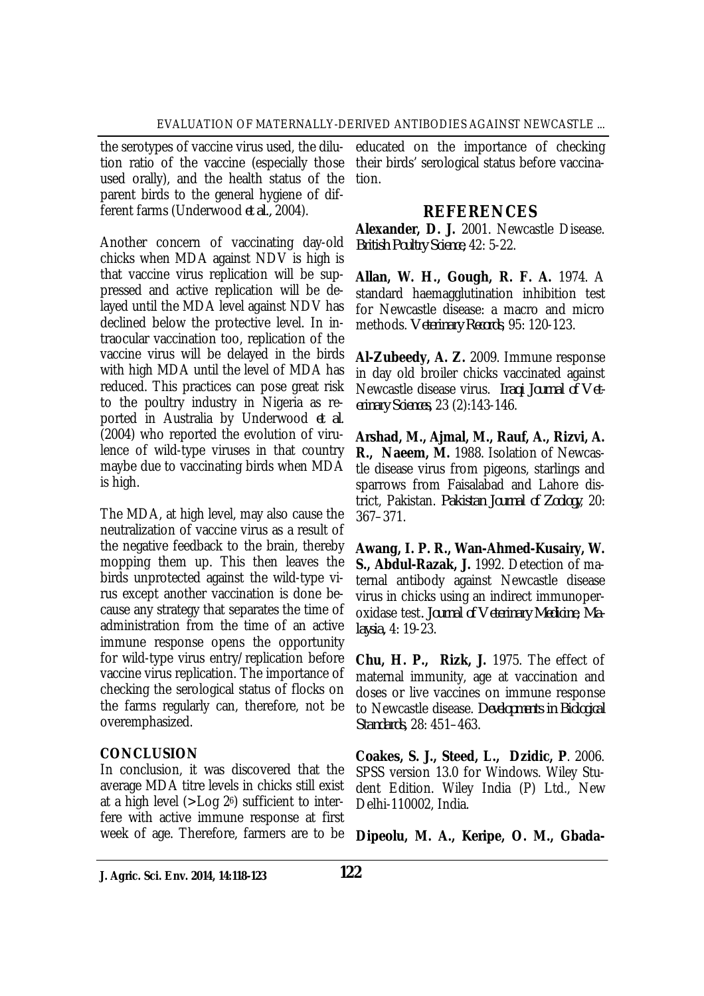the serotypes of vaccine virus used, the dilution ratio of the vaccine (especially those used orally), and the health status of the parent birds to the general hygiene of different farms (Underwood *et al.,* 2004).

Another concern of vaccinating day-old chicks when MDA against NDV is high is that vaccine virus replication will be suppressed and active replication will be delayed until the MDA level against NDV has declined below the protective level. In intraocular vaccination too, replication of the vaccine virus will be delayed in the birds with high MDA until the level of MDA has reduced. This practices can pose great risk to the poultry industry in Nigeria as reported in Australia by Underwood *et al*. (2004) who reported the evolution of virulence of wild-type viruses in that country maybe due to vaccinating birds when MDA is high.

The MDA, at high level, may also cause the neutralization of vaccine virus as a result of the negative feedback to the brain, thereby mopping them up. This then leaves the birds unprotected against the wild-type virus except another vaccination is done because any strategy that separates the time of administration from the time of an active immune response opens the opportunity for wild-type virus entry/replication before vaccine virus replication. The importance of checking the serological status of flocks on the farms regularly can, therefore, not be overemphasized.

### **CONCLUSION**

In conclusion, it was discovered that the average MDA titre levels in chicks still exist at a high level (>Log 26) sufficient to interfere with active immune response at first week of age. Therefore, farmers are to be educated on the importance of checking their birds' serological status before vaccination.

# **REFERENCES**

**Alexander, D. J.** 2001. Newcastle Disease. *British Poultry Science,* 42: 5-22.

**Allan, W. H., Gough, R. F. A.** 1974. A standard haemagglutination inhibition test for Newcastle disease: a macro and micro methods. *Veterinary Records*, 95: 120-123.

**Al-Zubeedy, A. Z.** 2009. Immune response in day old broiler chicks vaccinated against Newcastle disease virus. *Iraqi Journal of Veterinary Sciences,* 23 (2):143-146.

**Arshad, M., Ajmal, M., Rauf, A., Rizvi, A. R., Naeem, M.** 1988. Isolation of Newcastle disease virus from pigeons, starlings and sparrows from Faisalabad and Lahore district, Pakistan. *Pakistan Journal of Zoology*, 20: 367–371.

**Awang, I. P. R., Wan-Ahmed-Kusairy, W. S., Abdul-Razak, J.** 1992. Detection of maternal antibody against Newcastle disease virus in chicks using an indirect immunoperoxidase test*. Journal of Veterinary Medicine, Malaysia,* 4: 19-23.

**Chu, H. P., Rizk, J.** 1975. The effect of maternal immunity, age at vaccination and doses or live vaccines on immune response to Newcastle disease. *Developments in Biological Standards,* 28: 451–463.

**Coakes, S. J., Steed, L., Dzidic, P**. 2006. SPSS version 13.0 for Windows. Wiley Student Edition. Wiley India (P) Ltd., New Delhi-110002, India.

**Dipeolu, M. A., Keripe, O. M., Gbada-**